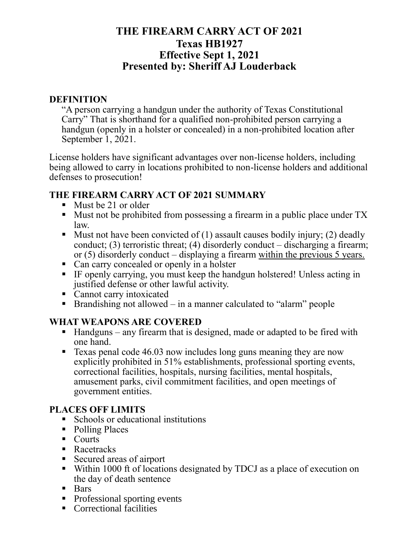# **THE FIREARM CARRY ACT OF 2021 Texas HB1927 Effective Sept 1, 2021 Presented by: Sheriff AJ Louderback**

#### **DEFINITION**

"A person carrying a handgun under the authority of Texas Constitutional Carry" That is shorthand for a qualified non-prohibited person carrying a handgun (openly in a holster or concealed) in a non-prohibited location after September 1, 2021.

License holders have significant advantages over non-license holders, including being allowed to carry in locations prohibited to non-license holders and additional defenses to prosecution!

### **THE FIREARM CARRY ACT OF 2021 SUMMARY**

- Must be 21 or older
- Must not be prohibited from possessing a firearm in a public place under TX law.
- **E** Must not have been convicted of  $(1)$  assault causes bodily injury;  $(2)$  deadly conduct; (3) terroristic threat; (4) disorderly conduct – discharging a firearm; or (5) disorderly conduct – displaying a firearm within the previous 5 years.
- Can carry concealed or openly in a holster
- IF openly carrying, you must keep the handgun holstered! Unless acting in justified defense or other lawful activity.
- Cannot carry intoxicated
- **Example 1** Brandishing not allowed in a manner calculated to "alarm" people

## **WHAT WEAPONS ARE COVERED**

- $\blacksquare$  Handguns any firearm that is designed, made or adapted to be fired with one hand.
- Texas penal code 46.03 now includes long guns meaning they are now explicitly prohibited in 51% establishments, professional sporting events, correctional facilities, hospitals, nursing facilities, mental hospitals, amusement parks, civil commitment facilities, and open meetings of government entities.

## **PLACES OFF LIMITS**

- Schools or educational institutions
- Polling Places
- Courts
- Racetracks
- Secured areas of airport
- Within 1000 ft of locations designated by TDCJ as a place of execution on the day of death sentence
- Bars
- Professional sporting events
- Correctional facilities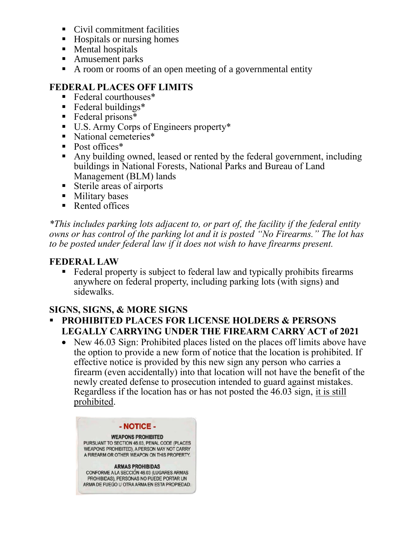- Civil commitment facilities
- Hospitals or nursing homes
- Mental hospitals
- Amusement parks
- A room or rooms of an open meeting of a governmental entity

#### **FEDERAL PLACES OFF LIMITS**

- Federal courthouses<sup>\*</sup>
- Federal buildings<sup>\*</sup>
- $\blacksquare$  Federal prisons\*
- U.S. Army Corps of Engineers property\*
- National cemeteries<sup>\*</sup>
- Post offices<sup>\*</sup>
- Any building owned, leased or rented by the federal government, including buildings in National Forests, National Parks and Bureau of Land Management (BLM) lands
- Sterile areas of airports
- Military bases
- Rented offices

*\*This includes parking lots adjacent to, or part of, the facility if the federal entity owns or has control of the parking lot and it is posted "No Firearms." The lot has to be posted under federal law if it does not wish to have firearms present.* 

#### **FEDERAL LAW**

■ Federal property is subject to federal law and typically prohibits firearms anywhere on federal property, including parking lots (with signs) and sidewalks.

#### **SIGNS, SIGNS, & MORE SIGNS**

- **PROHIBITED PLACES FOR LICENSE HOLDERS & PERSONS LEGALLY CARRYING UNDER THE FIREARM CARRY ACT of 2021**
	- New 46.03 Sign: Prohibited places listed on the places off limits above have the option to provide a new form of notice that the location is prohibited. If effective notice is provided by this new sign any person who carries a firearm (even accidentally) into that location will not have the benefit of the newly created defense to prosecution intended to guard against mistakes. Regardless if the location has or has not posted the 46.03 sign, it is still prohibited.

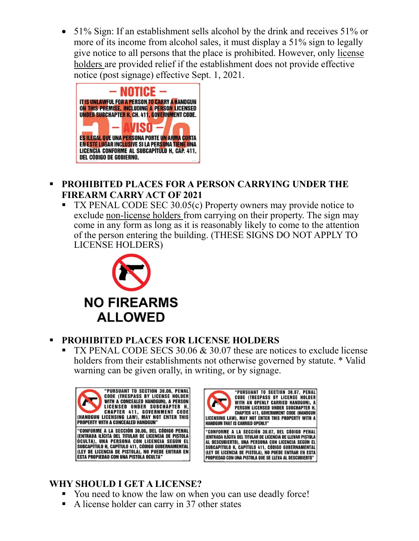• 51% Sign: If an establishment sells alcohol by the drink and receives 51% or more of its income from alcohol sales, it must display a 51% sign to legally give notice to all persons that the place is prohibited. However, only license holders are provided relief if the establishment does not provide effective notice (post signage) effective Sept. 1, 2021.



- **PROHIBITED PLACES FOR A PERSON CARRYING UNDER THE FIREARM CARRY ACT OF 2021**
	- $TX$  PENAL CODE SEC 30.05 $(c)$  Property owners may provide notice to exclude non-license holders from carrying on their property. The sign may come in any form as long as it is reasonably likely to come to the attention of the person entering the building. (THESE SIGNS DO NOT APPLY TO LICENSE HOLDERS)



## **PROHIBITED PLACES FOR LICENSE HOLDERS**

TX PENAL CODE SECS  $30.06 \& 30.07$  these are notices to exclude license holders from their establishments not otherwise governed by statute. \* Valid warning can be given orally, in writing, or by signage.





# **WHY SHOULD I GET A LICENSE?**

- You need to know the law on when you can use deadly force!
- A license holder can carry in 37 other states